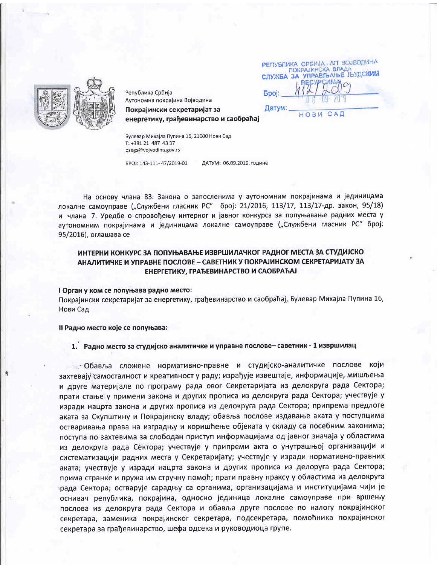РЕПУБЛИКА СРБИЈА - АП ВОЈВОДИНА **ПОКРАЈИНСКА ВЛАДА** СЛУЖБА ЗА УПРАВЉАЊЕ ЉУДСКИМ **Booi:** 



Република Србија Аутономна покрајина Војводина

Покрајински секретаријат за енергетику, грађевинарство и саобраћај Датум: **CAA** HOBM

Булевар Михајла Пупина 16, 21000 Нови Сад T: +381 21 487 43 37 psegs@vojvodina.gov.rs

EPOJ: 143-111-47/2019-01 ДАТУМ: 06.09.2019. године

На основу члана 83. Закона о запосленима у аутономним покрајинама и јединицама локалне самоуправе ("Службени гласник РС" број: 21/2016, 113/17, 113/17-др. закон, 95/18) и члана 7. Уредбе о спровођењу интерног и јавног конкурса за попуњавање радних места у аутономним покрајинама и јединицама локалне самоуправе ("Службени гласник РС" број: 95/2016), оглашава се

# ИНТЕРНИ КОНКУРС ЗА ПОПУЊАВАЊЕ ИЗВРШИЛАЧКОГ РАДНОГ МЕСТА ЗА СТУДИЈСКО АНАЛИТИЧКЕ И УПРАВНЕ ПОСЛОВЕ - САВЕТНИК У ПОКРАЈИНСКОМ СЕКРЕТАРИЈАТУ ЗА ЕНЕРГЕТИКУ, ГРАЂЕВИНАРСТВО И САОБРАЋАЈ

I Орган у ком се попуњава радно место:

Покрајински секретаријат за енергетику, грађевинарство и саобраћај, Булевар Михајла Пупина 16, Нови Сад

Il Радно место које се попуњава:

1. Радно место за студијско аналитичке и управне послове- саветник - 1 извршилац

С Обавља сложене нормативно-правне и студијско-аналитичке послове који захтевају самосталност и креативност у раду; израђује извештаје, информације, мишљења и друге материјале по програму рада овог Секретаријата из делокруга рада Сектора; прати стање у примени закона и других прописа из делокруга рада Сектора; учествује у изради нацрта закона и других прописа из делокруга рада Сектора; припрема предлоге аката за Скупштину и Покрајинску владу; обавља послове издавање аката у поступцима остваривања права на изградњу и коришћење објеката у складу са посебним законима; поступа по захтевима за слободан приступ информацијама од јавног значаја у областима из делокруга рада Сектора; учествује у припреми акта о унутрашњој организацији и систематизацији радних места у Секретаријату; учествује у изради нормативно-правних аката; учествује у изради нацрта закона и других прописа из делоруга рада Сектора; прима странке и пружа им стручну помоћ; прати правну праксу у областима из делокруга рада Сектора; остварује сарадњу са органима, организацијама и институцијама чији је оснивач република, покрајина, односно јединица локалне самоуправе при вршењу послова из делокруга рада Сектора и обавља друге послове по налогу покрајинског секретара, заменика покрајинског секретара, подсекретара, помоћника покрајинског секретара за грађевинарство, шефа одсека и руководиоца групе.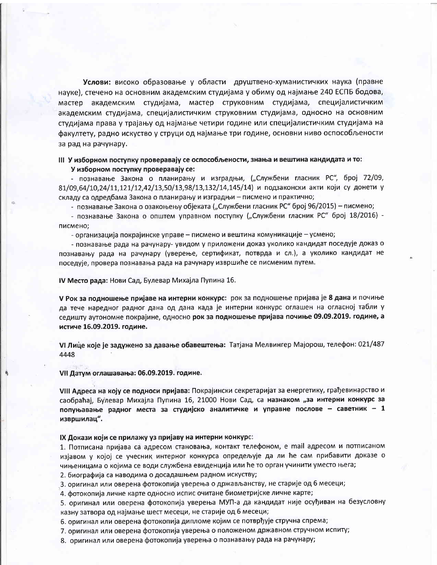Услови: високо образовање у области друштвено-хуманистичких наука (правне науке), стечено на основним академским студијама у обиму од најмање 240 ЕСПБ бодова, мастер академским студијама, мастер струковним студијама, специјалистичким академским студијама, специјалистичким струковним студијама, односно на основним студијама права у трајању од најмање четири године или специјалистичким студијама на факултету, радно искуство у струци од најмање три године, основни ниво оспособљености за рад на рачунару.

## III У изборном поступку проверавају се оспособљености, знања и вештина кандидата и то: У изборном поступку проверавају се:

- познавање Закона о планирању и изградњи, ("Службени гласник РС", број 72/09, 81/09.64/10.24/11.121/12.42/13.50/13.98/13.132/14.145/14) и подзаконски акти који су донети у складу са одредбама Закона о планирању и изградњи - писмено и практично;

- познавање Закона о озакоњењу објеката ("Службени гласник РС" број 96/2015) – писмено;

- познавање Закона о општем управном поступку ("Службени гласник РС" број 18/2016) писмено:

- организација покрајинске управе – писмено и вештина комуникације – усмено;

- познавање рада на рачунару- увидом у приложени доказ уколико кандидат поседује доказ о познавању рада на рачунару (уверење, сертификат, потврда и сл.), а уколико кандидат не поседује, провера познавања рада на рачунару извршиће се писменим путем.

IV Место рада: Нови Сад, Булевар Михајла Пупина 16.

V Рок за подношење пријаве на интерни конкурс: рок за подношење пријава је 8 дана и почиње да тече наредног радног дана од дана када је интерни конкурс оглашен на огласној табли у седишту аутономне покрајине, односно рок за подношење пријава почиње 09.09.2019. године, а истиче 16.09.2019. године.

VI Лице које је задужено за давање обавештења: Татјана Мелвингер Мајорош, телефон: 021/487 4448

VII Датум оглашавања: 06.09.2019. године.

VIII Адреса на коју се подноси пријава: Покрајински секретаријат за енергетику, грађевинарство и саобраћај, Булевар Михајла Пупина 16, 21000 Нови Сад, са назнаком "за интерни конкурс за попуњавање радног места за студијско аналитичке и управне послове - саветник - 1 извршилац".

IX Докази који се прилажу уз пријаву на интерни конкурс:

1. Потписана пријава са адресом становања, контакт телефоном, е mail адресом и потписаном изјавом у којој се учесник интерног конкурса опредељује да ли ће сам прибавити доказе о чињеницама о којима се води службена евиденција или ће то орган учинити уместо њега;

2. биографија са наводима о досадашњем радном искуству;

3. оригинал или оверена фотокопија уверења о држављанству, не старије од 6 месеци;

4. фотокопија личне карте односно испис очитане биометријске личне карте;

5. оригинал или оверена фотокопија уверења МУП-а да кандидат није осуђиван на безусловну казну затвора од најмање шест месеци, не старије од 6 месеци;

6. оригинал или оверена фотокопија дипломе којим се потврђује стручна спрема;

7. оригинал или оверена фотокопија уверења о положеном државном стручном испиту;

8. оригинал или оверена фотокопија уверења о познавању рада на рачунару;